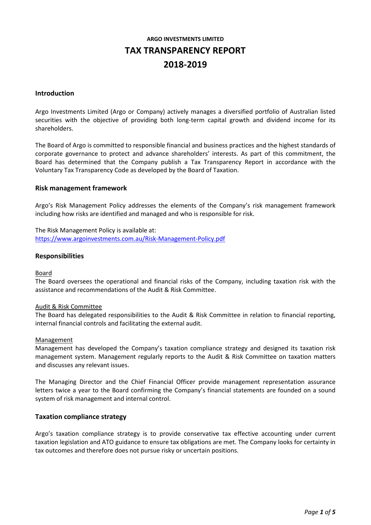# **ARGO INVESTMENTS LIMITED TAX TRANSPARENCY REPORT 2018-2019**

#### **Introduction**

Argo Investments Limited (Argo or Company) actively manages a diversified portfolio of Australian listed securities with the objective of providing both long-term capital growth and dividend income for its shareholders.

The Board of Argo is committed to responsible financial and business practices and the highest standards of corporate governance to protect and advance shareholders' interests. As part of this commitment, the Board has determined that the Company publish a Tax Transparency Report in accordance with the Voluntary Tax Transparency Code as developed by the Board of Taxation.

#### **Risk management framework**

Argo's Risk Management Policy addresses the elements of the Company's risk management framework including how risks are identified and managed and who is responsible for risk.

The Risk Management Policy is available at: [https://www.argoinvestments.com.au/Risk-Management-Policy.pdf](https://www.argoinvestments.com.au/assets/docs/asx-announcements/Risk-Management-Policy-ARG-final-approved-May19.pdf)

#### **Responsibilities**

#### Board

The Board oversees the operational and financial risks of the Company, including taxation risk with the assistance and recommendations of the Audit & Risk Committee.

#### Audit & Risk Committee

The Board has delegated responsibilities to the Audit & Risk Committee in relation to financial reporting, internal financial controls and facilitating the external audit.

#### **Management**

Management has developed the Company's taxation compliance strategy and designed its taxation risk management system. Management regularly reports to the Audit & Risk Committee on taxation matters and discusses any relevant issues.

The Managing Director and the Chief Financial Officer provide management representation assurance letters twice a year to the Board confirming the Company's financial statements are founded on a sound system of risk management and internal control.

#### **Taxation compliance strategy**

Argo's taxation compliance strategy is to provide conservative tax effective accounting under current taxation legislation and ATO guidance to ensure tax obligations are met. The Company looks for certainty in tax outcomes and therefore does not pursue risky or uncertain positions.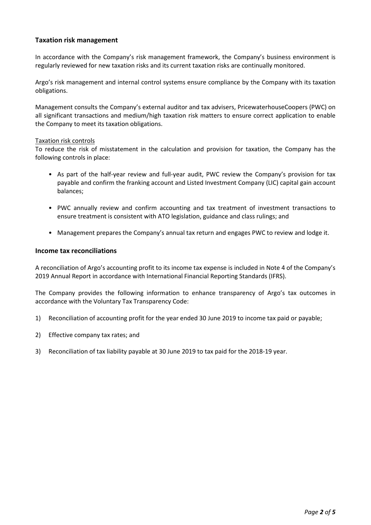## **Taxation risk management**

In accordance with the Company's risk management framework, the Company's business environment is regularly reviewed for new taxation risks and its current taxation risks are continually monitored.

Argo's risk management and internal control systems ensure compliance by the Company with its taxation obligations.

Management consults the Company's external auditor and tax advisers, PricewaterhouseCoopers (PWC) on all significant transactions and medium/high taxation risk matters to ensure correct application to enable the Company to meet its taxation obligations.

#### Taxation risk controls

To reduce the risk of misstatement in the calculation and provision for taxation, the Company has the following controls in place:

- As part of the half-year review and full-year audit, PWC review the Company's provision for tax payable and confirm the franking account and Listed Investment Company (LIC) capital gain account balances;
- PWC annually review and confirm accounting and tax treatment of investment transactions to ensure treatment is consistent with ATO legislation, guidance and class rulings; and
- Management prepares the Company's annual tax return and engages PWC to review and lodge it.

### **Income tax reconciliations**

A reconciliation of Argo's accounting profit to its income tax expense is included in Note 4 of the Company's 2019 Annual Report in accordance with International Financial Reporting Standards (IFRS).

The Company provides the following information to enhance transparency of Argo's tax outcomes in accordance with the Voluntary Tax Transparency Code:

- 1) Reconciliation of accounting profit for the year ended 30 June 2019 to income tax paid or payable;
- 2) Effective company tax rates; and
- 3) Reconciliation of tax liability payable at 30 June 2019 to tax paid for the 2018-19 year.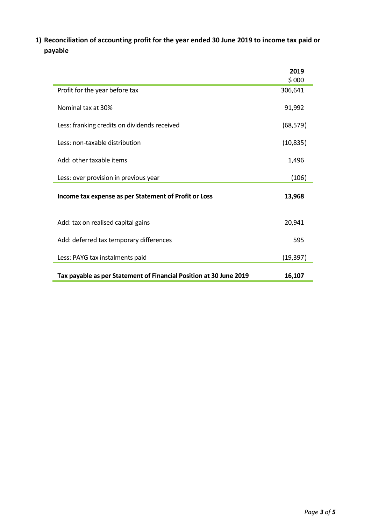**1) Reconciliation of accounting profit for the year ended 30 June 2019 to income tax paid or payable**

|                                                                    | 2019<br>\$000 |
|--------------------------------------------------------------------|---------------|
| Profit for the year before tax                                     | 306,641       |
| Nominal tax at 30%                                                 | 91,992        |
| Less: franking credits on dividends received                       | (68, 579)     |
| Less: non-taxable distribution                                     | (10, 835)     |
| Add: other taxable items                                           | 1,496         |
| Less: over provision in previous year                              | (106)         |
| Income tax expense as per Statement of Profit or Loss              | 13,968        |
| Add: tax on realised capital gains                                 | 20,941        |
| Add: deferred tax temporary differences                            | 595           |
| Less: PAYG tax instalments paid                                    | (19, 397)     |
| Tax payable as per Statement of Financial Position at 30 June 2019 | 16,107        |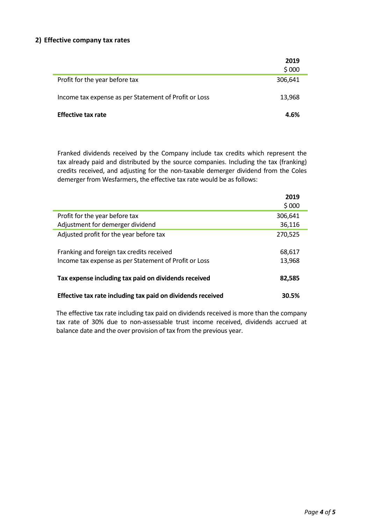## **2) Effective company tax rates**

|                                                       | 2019<br>\$000 |
|-------------------------------------------------------|---------------|
| Profit for the year before tax                        | 306,641       |
| Income tax expense as per Statement of Profit or Loss | 13,968        |
| <b>Effective tax rate</b>                             | 4.6%          |

Franked dividends received by the Company include tax credits which represent the tax already paid and distributed by the source companies. Including the tax (franking) credits received, and adjusting for the non-taxable demerger dividend from the Coles demerger from Wesfarmers, the effective tax rate would be as follows:

|                                                             | 2019<br>\$000 |
|-------------------------------------------------------------|---------------|
| Profit for the year before tax                              | 306,641       |
| Adjustment for demerger dividend                            | 36,116        |
| Adjusted profit for the year before tax                     | 270,525       |
| Franking and foreign tax credits received                   | 68,617        |
| Income tax expense as per Statement of Profit or Loss       | 13,968        |
| Tax expense including tax paid on dividends received        | 82,585        |
| Effective tax rate including tax paid on dividends received | 30.5%         |

The effective tax rate including tax paid on dividends received is more than the company tax rate of 30% due to non-assessable trust income received, dividends accrued at balance date and the over provision of tax from the previous year.